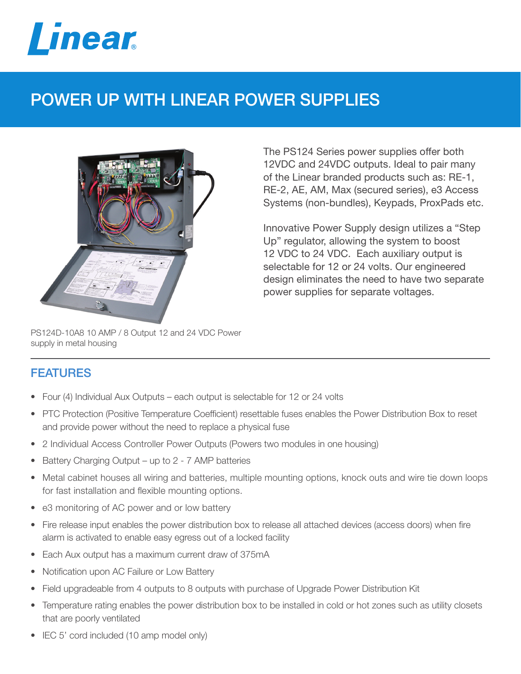

## POWER UP WITH LINEAR POWER SUPPLIES



The PS124 Series power supplies offer both 12VDC and 24VDC outputs. Ideal to pair many of the Linear branded products such as: RE-1, RE-2, AE, AM, Max (secured series), e3 Access Systems (non-bundles), Keypads, ProxPads etc.

Innovative Power Supply design utilizes a "Step Up" regulator, allowing the system to boost 12 VDC to 24 VDC. Each auxiliary output is selectable for 12 or 24 volts. Our engineered design eliminates the need to have two separate power supplies for separate voltages.

PS124D-10A8 10 AMP / 8 Output 12 and 24 VDC Power supply in metal housing

## FEATURES

- Four (4) Individual Aux Outputs each output is selectable for 12 or 24 volts
- PTC Protection (Positive Temperature Coefficient) resettable fuses enables the Power Distribution Box to reset and provide power without the need to replace a physical fuse
- 2 Individual Access Controller Power Outputs (Powers two modules in one housing)
- Battery Charging Output up to 2 7 AMP batteries
- Metal cabinet houses all wiring and batteries, multiple mounting options, knock outs and wire tie down loops for fast installation and flexible mounting options.
- e3 monitoring of AC power and or low battery
- Fire release input enables the power distribution box to release all attached devices (access doors) when fire alarm is activated to enable easy egress out of a locked facility
- Each Aux output has a maximum current draw of 375mA
- Notification upon AC Failure or Low Battery
- Field upgradeable from 4 outputs to 8 outputs with purchase of Upgrade Power Distribution Kit
- Temperature rating enables the power distribution box to be installed in cold or hot zones such as utility closets that are poorly ventilated
- IEC 5' cord included (10 amp model only)